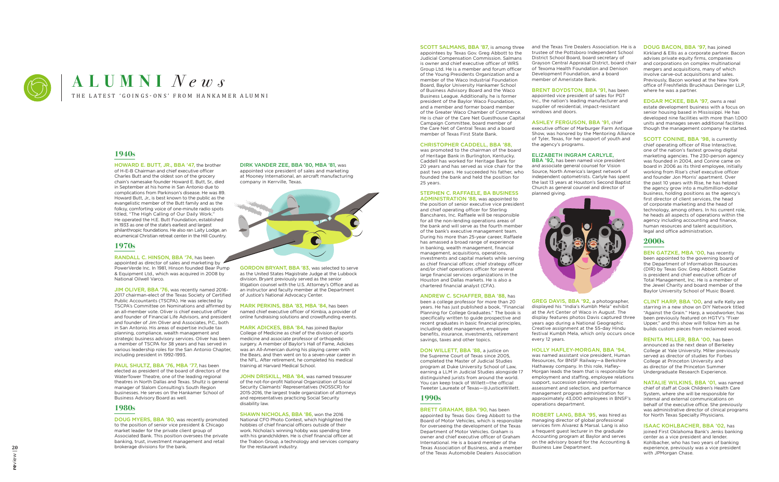

# THE LATEST 'GOINGS-ONS' FROM HANKAMER ALUMNI **ALUMNI** *News*

# **1940s**

HOWARD E. BUTT, JR., BBA '47, the brother of H-E-B Chairman and chief executive officer Charles Butt and the oldest son of the grocery chain's namesake founder Howard E. Butt, Sr., died in September at his home in San Antonio due to complications from Parkinson's disease. He was 89. Howard Butt, Jr., is best known to the public as the evangelistic member of the Butt family and as the folksy, comforting voice of one-minute radio spots titled, "The High Calling of Our Daily Work." He operated the H.E. Butt Foundation, established in 1933 as one of the state's earliest and largest philanthropic foundations. He also ran Laity Lodge, an ecumenical Christian retreat center in the Hill Country.

# **1970s**

JIM OLIVER, BBA '76, was recently named 2016-2017 chairman-elect of the Texas Society of Certified Public Accountants (TSCPA). He was selected by TSCPA's Committee on Nominations and affirmed by an all-member vote. Oliver is chief executive officer and founder of Financial Life Advisors, and president and founder of Jim Oliver and Associates, P.C., both in San Antonio. His areas of expertise include tax planning, compliance, wealth management and strategic business advisory services. Oliver has been a member of TSCPA for 38 years and has served in various leadership roles for the San Antonio Chapter, including president in 1992-1993.

RANDALL C. HINSON, BBA '74, has been appointed as director of sales and marketing by  $\triangle$ PowerVerde Inc. In 1981, Hinson founded Bear Pump & Equipment Ltd., which was acquired in 2008 by National Oilwell Varco.

PAUL SHULTZ, BBA '76, MBA '77, has been elected as president of the board of directors of the WaterTower Theatre, one of the leading regional theatres in North Dallas and Texas. Shultz is general manager of Slalom Consulting's South Region businesses. He serves on the Hankamer School of Business Advisory Board as well.

# **1980s**

DOUG MYERS, BBA '80, was recently promoted to the position of senior vice president & Chicago market leader for the private client group of Associated Bank. This position oversees the private banking, trust, investment management and retail brokerage divisions for the bank.

DIRK VANDER ZEE, BBA '80, MBA '81, was appointed vice president of sales and marketing at Mooney International, an aircraft manufacturing company in Kerrville, Texas.



GORDON BRYANT, BBA '83, was selected to serve as the United States Magistrate Judge at the Lubbock division. Bryant previously served as the senior litigation counsel with the U.S. Attorney's Office and as an instructor and faculty member at the Department of Justice's National Advocacy Center.

MARK PERKINS, BBA '83, MBA '84, has been named chief executive officer of Kimbia, a provider of online fundraising solutions and crowdfunding events.

MARK ADICKES, BBA '84, has joined Baylor College of Medicine as chief of the division of sports medicine and associate professor of orthopedic surgery. A member of Baylor's Hall of Fame, Adickes was an All-American during his playing career with the Bears, and then went on to a seven-year career in the NFL. After retirement, he completed his medical training at Harvard Medical School.

JOHN DRISKILL, MBA '84, was named treasurer of the not-for-profit National Organization of Social Security Claimants' Representatives (NOSSCR) for 2015-2016, the largest trade organization of attorneys and representatives practicing Social Security disability law.

SCOTT SALMANS, BBA '87, is among three and the Texas Tire Dealers Association. He is a DOUG BACON, BBA '97, has joined trustee of the Pottsboro Independent School District School Board, board secretary of Grayson Central Appraisal District, board chair of Texoma Health Foundation and Denison Development Foundation, and a board member of Ameristate Bank.

SHAWN NICHOLAS, BBA '86, won the 2016 National CFO Photo Contest, which highlighted the hobbies of chief financial officers outside of their work. Nicholas's winning hobby was spending time with his grandchildren. He is chief financial officer at the Trabon Group, a technology and services company for the restaurant industry.

BBA '92, has been named vice president and associate general counsel for Vision Source, North America's largest network of independent optometrists. Carlyle has spent the last 13 years at Houston's Second Baptist Church as general counsel and director of planned giving.



appointees by Texas Gov. Greg Abbott to the Judicial Compensation Commission. Salmans is owner and chief executive officer of WRS Group Ltd. He is a member and forum officer of the Young Presidents Organization and a member of the Waco Industrial Foundation Board, Baylor University Hankamer School of Business Advisory Board and the Waco Business League. Additionally, he is former president of the Baylor Waco Foundation, and a member and former board member of the Greater Waco Chamber of Commerce. He is chair of the Care Net Guesthouse Capital Campaign Committee, board member of the Care Net of Central Texas and a board member of Texas First State Bank.

# CHRISTOPHER CADDELL, BBA '88,

was promoted to the chairman of the board of Heritage Bank in Burlington, Kentucky. Caddell has worked for Heritage Bank for 20 years and has served as vice chair for the past two years. He succeeded his father, who founded the bank and held the position for 25 years.

# STEPHEN C. RAFFAELE, BA BUSINESS

SCOTT CONINE, BBA '98, is currently chief operating officer of Rise Interactive, one of the nation's fastest growing digital marketing agencies. The 230-person agency was founded in 2004, and Conine came on board in 2006 as its third employee, initially working from Rise's chief executive officer and founder Jon Morris' apartment. Over the past 10 years with Rise, he has helped the agency grow into a multimillion-dollar business, holding positions as the agency's first director of client services, the head of corporate marketing and the head of technology, among others. In his current role, he heads all aspects of operations within the agency including accounting and finance, human resources and talent acquisition, legal and office administration.

ADMINISTRATION '88, was appointed to the position of senior executive vice president and chief operating officer for Sterling Bancshares, Inc. Raffaele will be responsible for all the non-lending operations areas of the bank and will serve as the fourth member of the bank's executive management team. During his more than 25-year career, Raffaele has amassed a broad range of experience in banking, wealth management, financial management, acquisitions, operations, investments and capital markets while serving as chief financial officer, chief strategy officer and/or chief operations officer for several large financial services organizations in the Houston and Dallas markets. He is also a chartered financial analyst (CFA).

> ISAAC KOHLBACHER, BBA '02, has joined First Oklahoma Bank's Jenks banking center as a vice president and lender. Kohlbacher, who has two years of banking experience, previously was a vice president with JPMorgan Chase.

# ANDREW C. SCHAFFER, BBA '88, has

been a college professor for more than 20 years. He has just published a book, "Financial Planning for College Graduates." The book is specifically written to guide prospective and recent graduates in basic financial principles, including debt management, employee benefits, insurance, investments, retirement savings, taxes and other topics.

# DON WILLETT, BBA '88, a justice on

the Supreme Court of Texas since 2005, completed the Master of Judicial Studies program at Duke University School of Law, earning a LLM in Judicial Studies alongside 17 distinguished jurists from around the world. You can keep track of Willett—the official Tweeter Laureate of Texas—@JusticeWillett.

# **1990s**

BRETT GRAHAM, BBA '90, has been appointed by Texas Gov. Greg Abbott to the Board of Motor Vehicles, which is responsible for overseeing the development of the Texas Department of Motor Vehicles. Graham is owner and chief executive officer of Graham International. He is a board member of the Texas Association of Business, and a member of the Texas Automobile Dealers Association

BRENT BOYDSTON, BBA '91, has been appointed vice president of sales for PGT Inc., the nation's leading manufacturer and supplier of residential, impact-resistant windows and doors.

ASHLEY FERGUSON, BBA '91, chief executive officer of Marburger Farm Antique Show, was honored by the Mentoring Alliance of Tyler, Texas, for her support of youth and the agency's programs.

# ELIZABETH INGRAM CARLYLE,

GREG DAVIS, BBA '92, a photographer, displayed his "India's Kumbh Mela" exhibit at the Art Center of Waco in August. The display features photos Davis captured three years ago during a National Geographic Creative assignment at the 55-day Hindu festival Kumbh Mela, which only occurs once every 12 years.

# HOLLY HAFLEY-MORGAN, BBA '94,

was named assistant vice president, Human Resources, for BNSF Railway—a Berkshire Hathaway company. In this role, Hafley-Morgan leads the team that is responsible for employment and staffing, employee relations support, succession planning, internal assessment and selection, and performance management program administration for approximately 43,000 employees in BNSF's operations department.

ROBERT LANG, BBA '95, was hired as managing director of global professional services firm Alvarez & Marsal. Lang is also a frequent guest lecturer in the graduate Accounting program at Baylor and serves on the advisory board for the Accounting & Business Law Department.

Kirkland & Ellis as a corporate partner. Bacon advises private equity firms, companies and corporations on complex multinational mergers and acquisitions, many of which involve carve-out acquisitions and sales. Previously, Bacon worked at the New York office of Freshfields Bruckhaus Deringer LLP, where he was a partner.

EDGAR MCKEE, BBA '97, owns a real estate development business with a focus on senior housing based in Mississippi. He has developed nine facilities with more than 1,000 units and manages seven additional facilities though the management company he started.

# **2000s**

BEN GATZKE, MBA '00, has recently been appointed to the governing board of the Department of Information Resources (DIR) by Texas Gov. Greg Abbott. Gatzke is president and chief executive officer of Total Management, Inc. He is a member of the Jewel Charity and board member of the Baylor University School of Music Board.

CLINT HARP, BBA '00, and wife Kelly are starring in a new show on DIY Network titled "Against the Grain." Harp, a woodworker, has been previously featured on HGTV's "Fixer Upper," and this show will follow him as he builds custom pieces from reclaimed wood.

RENITA MILLER, BBA '00, has been announced as the next dean of Berkeley College at Yale University. Miller previously served as director of studies for Forbes College at Princeton University and as director of the Princeton Summer Undergraduate Research Experience.

NATALIE WILKINS, BBA '01, was named chief of staff at Cook Children's Health Care System, where she will be responsible for internal and external communications on behalf of the executive office. She previously was administrative director of clinical programs for North Texas Specialty Physicians.